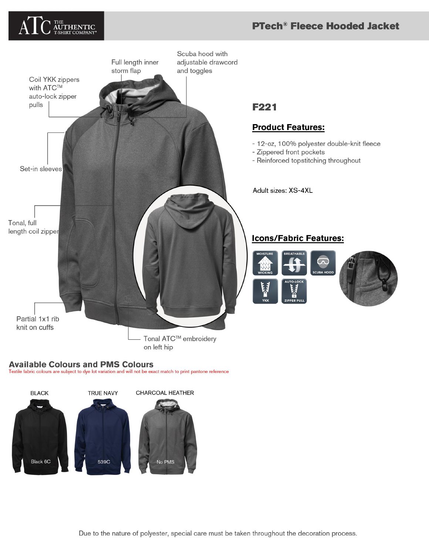# THE<br>**AUTHENTIC**<br>T-SHIRT COMPANY

## **PTech<sup>®</sup> Fleece Hooded Jacket**



## **Available Colours and PMS Colours**

Textile fabric colours are subject to dye lot variation and will not be exact match to print pantone reference



# **F221**

#### **Product Features:**

- 12-oz, 100% polyester double-knit fleece
- Zippered front pockets
- Reinforced topstitching throughout

Adult sizes: XS-4XL

## **Icons/Fabric Features:**